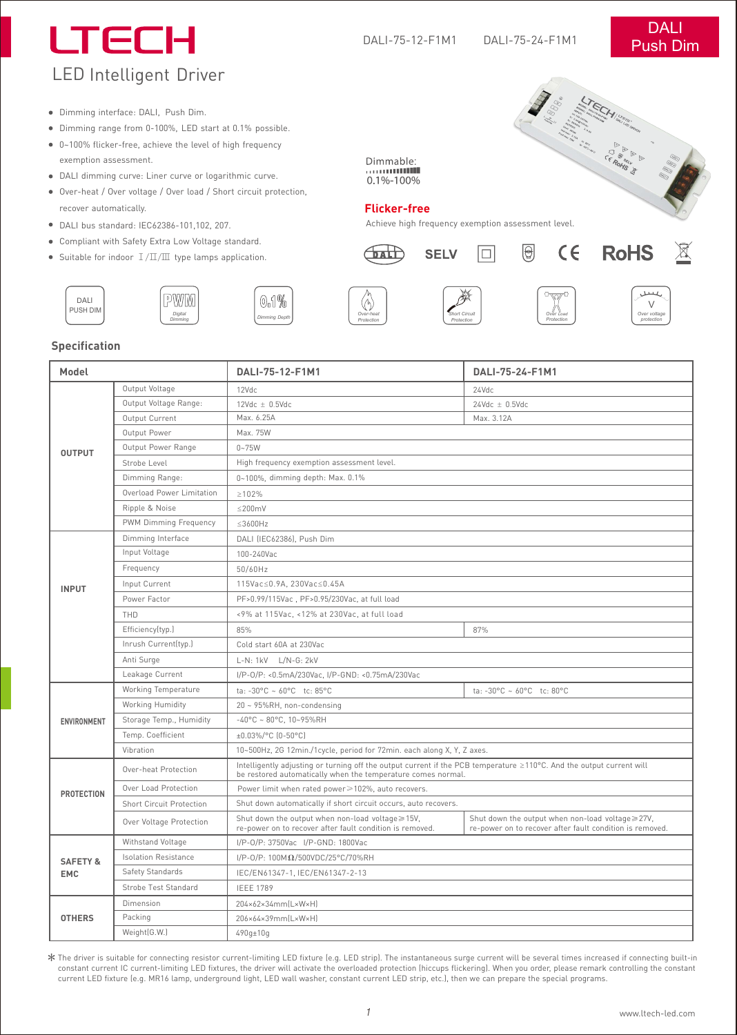# LTECH LED Intelligent Driver

**SARANGER REGISTER** 

Dimming interface: DALI, Push Dim.

- Dimming range from 0-100%, LED start at 0.1% possible.
- 0~100% flicker-free, achieve the level of high frequency exemption assessment.
- DALI dimming curve: Liner curve or logarithmic curve.
- Over-heat / Over voltage / Over load / Short circuit protection, recover automatically.

*Digital Dimming*

- DALI bus standard: IEC62386-101,102, 207.
- Compliant with Safety Extra Low Voltage standard.
- Suitable for indoor  $I/\Pi/\Pi$  type lamps application.



Dimmable:

Achieve high frequency exemption assessment level.





*Over Load Protection*



 $\mathbb{X}$ 









*Over***-***heat Protection*







#### **Specification**

DALI

| Model                             |                                                                    | DALI-75-12-F1M1                                                                                                                                                                      | DALI-75-24-F1M1                                                                                             |
|-----------------------------------|--------------------------------------------------------------------|--------------------------------------------------------------------------------------------------------------------------------------------------------------------------------------|-------------------------------------------------------------------------------------------------------------|
| <b>OUTPUT</b>                     | Output Voltage                                                     | 12Vdc                                                                                                                                                                                | 24Vdc                                                                                                       |
|                                   | Output Voltage Range:                                              | $12$ Vdc $\pm$ 0.5Vdc                                                                                                                                                                | $24Vdc \pm 0.5Vdc$                                                                                          |
|                                   | Output Current                                                     | Max. 6.25A                                                                                                                                                                           | Max. 3.12A                                                                                                  |
|                                   | Output Power                                                       | Max. 75W                                                                                                                                                                             |                                                                                                             |
|                                   | Output Power Range                                                 | $0 - 75W$                                                                                                                                                                            |                                                                                                             |
|                                   | Strobe Level                                                       | High frequency exemption assessment level.                                                                                                                                           |                                                                                                             |
|                                   | Dimming Range:                                                     | 0~100%, dimming depth: Max. 0.1%                                                                                                                                                     |                                                                                                             |
|                                   | Overload Power Limitation                                          | $\geq 102\%$                                                                                                                                                                         |                                                                                                             |
|                                   | Ripple & Noise                                                     | $\leq$ 200mV                                                                                                                                                                         |                                                                                                             |
|                                   | PWM Dimming Frequency                                              | $\leq$ 3600Hz                                                                                                                                                                        |                                                                                                             |
| <b>INPUT</b>                      | Dimming Interface                                                  | DALI (IEC62386), Push Dim                                                                                                                                                            |                                                                                                             |
|                                   | Input Voltage                                                      | 100-240Vac                                                                                                                                                                           |                                                                                                             |
|                                   | Frequency                                                          | 50/60Hz                                                                                                                                                                              |                                                                                                             |
|                                   | Input Current                                                      | 115Vac≤0.9A, 230Vac≤0.45A                                                                                                                                                            |                                                                                                             |
|                                   | Power Factor                                                       | PF>0.99/115Vac, PF>0.95/230Vac, at full load                                                                                                                                         |                                                                                                             |
|                                   | THD                                                                | <9% at 115Vac, <12% at 230Vac, at full load                                                                                                                                          |                                                                                                             |
|                                   | Efficiency(typ.)                                                   | 85%                                                                                                                                                                                  | 87%                                                                                                         |
|                                   | Inrush Current(typ.)                                               | Cold start 60A at 230Vac                                                                                                                                                             |                                                                                                             |
|                                   | Anti Surge                                                         | L-N: 1kV L/N-G: 2kV                                                                                                                                                                  |                                                                                                             |
|                                   | Leakage Current<br>I/P-0/P: <0.5mA/230Vac, I/P-GND: <0.75mA/230Vac |                                                                                                                                                                                      |                                                                                                             |
| ENVIRONMENT                       | Working Temperature                                                | ta: -30°C ~ 60°C tc: 85°C                                                                                                                                                            | ta: -30°C ~ $60^{\circ}$ C tc: 80°C                                                                         |
|                                   | Working Humidity                                                   | 20 ~ 95%RH, non-condensing                                                                                                                                                           |                                                                                                             |
|                                   | Storage Temp., Humidity                                            | $-40^{\circ}$ C ~ 80°C, 10~95%RH                                                                                                                                                     |                                                                                                             |
|                                   | Temp. Coefficient                                                  | ±0.03%/°C (0-50°C)                                                                                                                                                                   |                                                                                                             |
|                                   | Vibration                                                          | 10~500Hz, 2G 12min./1cycle, period for 72min. each along X, Y, Z axes.                                                                                                               |                                                                                                             |
| <b>PROTECTION</b>                 | Over-heat Protection                                               | Intelligently adjusting or turning off the output current if the PCB temperature ≥110°C. And the output current will<br>be restored automatically when the temperature comes normal. |                                                                                                             |
|                                   | Over Load Protection                                               | Power limit when rated power ≥102%, auto recovers.                                                                                                                                   |                                                                                                             |
|                                   | <b>Short Circuit Protection</b>                                    | Shut down automatically if short circuit occurs, auto recovers.                                                                                                                      |                                                                                                             |
|                                   | Over Voltage Protection                                            | Shut down the output when non-load voltage≥15V,<br>re-power on to recover after fault condition is removed.                                                                          | Shut down the output when non-load voltage≥27V,<br>re-power on to recover after fault condition is removed. |
| <b>SAFETY &amp;</b><br><b>EMC</b> | Withstand Voltage                                                  | I/P-0/P: 3750Vac I/P-GND: 1800Vac                                                                                                                                                    |                                                                                                             |
|                                   | <b>Isolation Resistance</b>                                        | I/P-0/P: 100ΜΩ/500VDC/25°C/70%RH                                                                                                                                                     |                                                                                                             |
|                                   | Safety Standards                                                   | IEC/EN61347-1, IEC/EN61347-2-13                                                                                                                                                      |                                                                                                             |
|                                   | Strobe Test Standard                                               | <b>IEEE 1789</b>                                                                                                                                                                     |                                                                                                             |
| <b>OTHERS</b>                     | Dimension                                                          | 204×62×34mm(L×W×H)                                                                                                                                                                   |                                                                                                             |
|                                   | Packing                                                            | 206×64×39mm(L×W×H)                                                                                                                                                                   |                                                                                                             |
|                                   | Weight(G.W.)                                                       | 490g±10g                                                                                                                                                                             |                                                                                                             |
|                                   |                                                                    |                                                                                                                                                                                      |                                                                                                             |

The driver is suitable for connecting resistor current-limiting LED fixture (e.g. LED strip). The instantaneous surge current will be several times increased if connecting built-in constant current IC current-limiting LED fixtures, the driver will activate the overloaded protection (hiccups flickering). When you order, please remark controlling the constant current LED fixture (e.g. MR16 lamp, underground light, LED wall washer, constant current LED strip, etc.), then we can prepare the special programs.